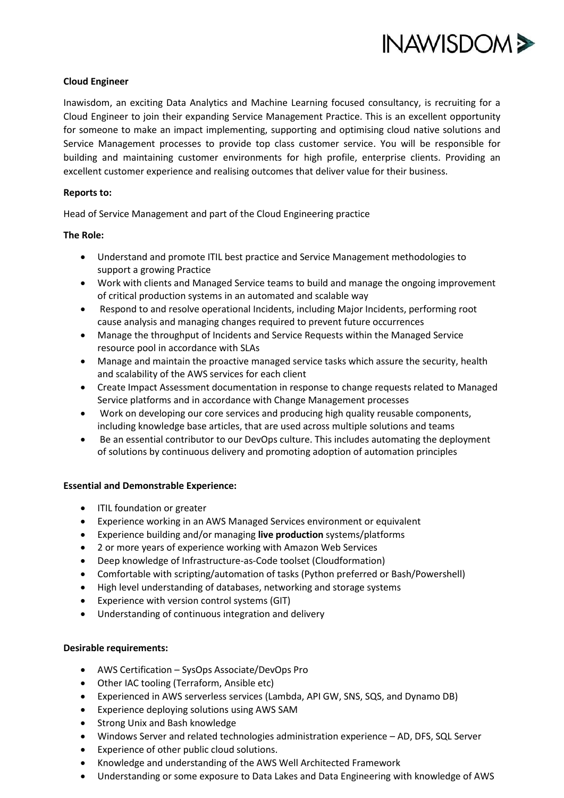

## **Cloud Engineer**

Inawisdom, an exciting Data Analytics and Machine Learning focused consultancy, is recruiting for a Cloud Engineer to join their expanding Service Management Practice. This is an excellent opportunity for someone to make an impact implementing, supporting and optimising cloud native solutions and Service Management processes to provide top class customer service. You will be responsible for building and maintaining customer environments for high profile, enterprise clients. Providing an excellent customer experience and realising outcomes that deliver value for their business.

## **Reports to:**

Head of Service Management and part of the Cloud Engineering practice

## **The Role:**

- Understand and promote ITIL best practice and Service Management methodologies to support a growing Practice
- Work with clients and Managed Service teams to build and manage the ongoing improvement of critical production systems in an automated and scalable way
- Respond to and resolve operational Incidents, including Major Incidents, performing root cause analysis and managing changes required to prevent future occurrences
- Manage the throughput of Incidents and Service Requests within the Managed Service resource pool in accordance with SLAs
- Manage and maintain the proactive managed service tasks which assure the security, health and scalability of the AWS services for each client
- Create Impact Assessment documentation in response to change requests related to Managed Service platforms and in accordance with Change Management processes
- Work on developing our core services and producing high quality reusable components, including knowledge base articles, that are used across multiple solutions and teams
- Be an essential contributor to our DevOps culture. This includes automating the deployment of solutions by continuous delivery and promoting adoption of automation principles

#### **Essential and Demonstrable Experience:**

- ITIL foundation or greater
- Experience working in an AWS Managed Services environment or equivalent
- Experience building and/or managing **live production** systems/platforms
- 2 or more years of experience working with Amazon Web Services
- Deep knowledge of Infrastructure-as-Code toolset (Cloudformation)
- Comfortable with scripting/automation of tasks (Python preferred or Bash/Powershell)
- High level understanding of databases, networking and storage systems
- Experience with version control systems (GIT)
- Understanding of continuous integration and delivery

#### **Desirable requirements:**

- AWS Certification SysOps Associate/DevOps Pro
- Other IAC tooling (Terraform, Ansible etc)
- Experienced in AWS serverless services (Lambda, API GW, SNS, SQS, and Dynamo DB)
- Experience deploying solutions using AWS SAM
- Strong Unix and Bash knowledge
- Windows Server and related technologies administration experience AD, DFS, SQL Server
- Experience of other public cloud solutions.
- Knowledge and understanding of the AWS Well Architected Framework
- Understanding or some exposure to Data Lakes and Data Engineering with knowledge of AWS